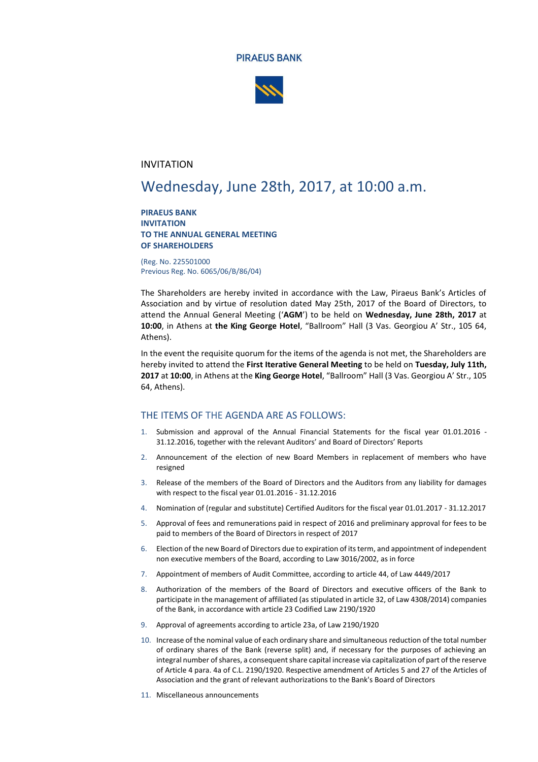



### INVITATION

# Wednesday, June 28th, 2017, at 10:00 a.m.

#### **PIRAEUS BANK INVITATION TO THE ANNUAL GENERAL MEETING OF SHAREHOLDERS**

(Reg. No. 225501000 Previous Reg. No. 6065/06/Β/86/04)

The Shareholders are hereby invited in accordance with the Law, Piraeus Bank's Articles of Association and by virtue of resolution dated May 25th, 2017 of the Board of Directors, to attend the Annual General Meeting ('**AGM**') to be held on **Wednesday, June 28th, 2017** at **10:00**, in Athens at **the King George Hotel**, "Ballroom" Hall (3 Vas. Georgiou A' Str., 105 64, Athens).

In the event the requisite quorum for the items of the agenda is not met, the Shareholders are hereby invited to attend the **First Iterative General Meeting** to be held on **Tuesday, July 11th, 2017** at **10:00**, in Athens at the **King George Hotel**, "Ballroom" Hall (3 Vas. Georgiou A' Str., 105 64, Athens).

#### THE ITEMS OF THE AGENDA ARE AS FOLLOWS:

- 1. Submission and approval of the Annual Financial Statements for the fiscal year 01.01.2016 31.12.2016, together with the relevant Auditors' and Board of Directors' Reports
- 2. Announcement of the election of new Board Members in replacement of members who have resigned
- 3. Release of the members of the Board of Directors and the Auditors from any liability for damages with respect to the fiscal year 01.01.2016 - 31.12.2016
- 4. Nomination of (regular and substitute) Certified Auditors for the fiscal year 01.01.2017 31.12.2017
- 5. Approval of fees and remunerations paid in respect of 2016 and preliminary approval for fees to be paid to members of the Board of Directors in respect of 2017
- 6. Election of the new Board of Directors due to expiration of its term, and appointment of independent non executive members of the Board, according to Law 3016/2002, as in force
- 7. Appointment of members of Audit Committee, according to article 44, of Law 4449/2017
- 8. Authorization of the members of the Board of Directors and executive officers of the Bank to participate in the management of affiliated (as stipulated in article 32, of Law 4308/2014) companies of the Bank, in accordance with article 23 Codified Law 2190/1920
- 9. Approval of agreements according to article 23a, of Law 2190/1920
- 10. Increase of the nominal value of each ordinary share and simultaneous reduction of the total number of ordinary shares of the Bank (reverse split) and, if necessary for the purposes of achieving an integral number of shares, a consequent share capital increase via capitalization of part of the reserve of Article 4 para. 4a of C.L. 2190/1920. Respective amendment of Articles 5 and 27 of the Articles of Association and the grant of relevant authorizations to the Bank's Board of Directors
- 11. Miscellaneous announcements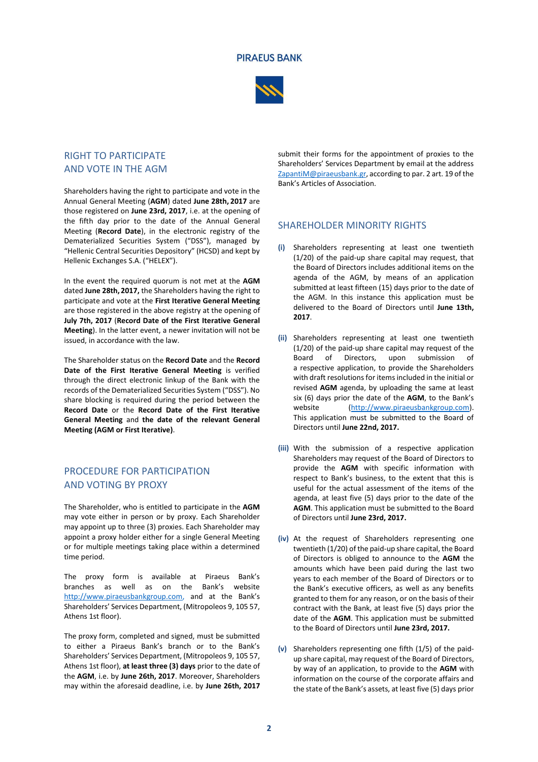#### **PIRAEUS BANK**



# RIGHT TO PARTICIPATE AND VOTE IN THE AGM

Shareholders having the right to participate and vote in the Annual General Meeting (**AGM**) dated **June 28th, 2017** are those registered on **June 23rd, 2017**, i.e. at the opening of the fifth day prior to the date of the Annual General Meeting (**Record Date**), in the electronic registry of the Dematerialized Securities System ("DSS"), managed by "Hellenic Central Securities Depository" (HCSD) and kept by Hellenic Exchanges S.A. ("HELEX").

In the event the required quorum is not met at the **AGM** dated **June 28th, 2017,** the Shareholders having the right to participate and vote at the **First Iterative General Meeting**  are those registered in the above registry at the opening of **July 7th, 2017** (**Record Date of the First Iterative General Meeting**). In the latter event, a newer invitation will not be issued, in accordance with the law.

The Shareholder status on the **Record Date** and the **Record Date of the First Iterative General Meeting** is verified through the direct electronic linkup of the Bank with the records of the Dematerialized Securities System ("DSS"). No share blocking is required during the period between the **Record Date** or the **Record Date of the First Iterative General Meeting** and **the date of the relevant General Meeting (AGM or First Iterative)**.

## PROCEDURE FOR PARTICIPATION AND VOTING BY PROXY

The Shareholder, who is entitled to participate in the **AGM** may vote either in person or by proxy. Each Shareholder may appoint up to three (3) proxies. Each Shareholder may appoint a proxy holder either for a single General Meeting or for multiple meetings taking place within a determined time period.

The proxy form is available at Piraeus Bank's branches as well as on the Bank's website http://www.piraeusbankgroup.com, and at the Bank's Shareholders' Services Department, (Mitropoleos 9, 105 57, Athens 1st floor).

The proxy form, completed and signed, must be submitted to either a Piraeus Bank's branch or to the Bank's Shareholders' Services Department, (Mitropoleos 9, 105 57, Athens 1st floor), **at least three (3) days** prior to the date of the **AGM**, i.e. by **June 26th, 2017**. Moreover, Shareholders may within the aforesaid deadline, i.e. by **June 26th, 2017**

submit their forms for the appointment of proxies to the Shareholders' Services Department by email at the address [ZapantiM@piraeusbank.gr,](mailto:ZapantiM@piraeusbank.gr) according to par. 2 art. 19 of the Bank's Articles of Association.

### SHAREHOLDER MINORITY RIGHTS

- **(i)** Shareholders representing at least one twentieth (1/20) of the paid-up share capital may request, that the Board of Directors includes additional items on the agenda of the AGM, by means of an application submitted at least fifteen (15) days prior to the date of the AGM. In this instance this application must be delivered to the Board of Directors until **June 13th, 2017**.
- **(ii)** Shareholders representing at least one twentieth (1/20) of the paid-up share capital may request of the Board of Directors, upon submission of a respective application, to provide the Shareholders with draft resolutions for items included in the initial or revised **AGM** agenda, by uploading the same at least six (6) days prior the date of the **AGM**, to the Bank's website [\(http://www.piraeusbankgroup.com\)](http://www.piraeusbankgroup.com/). This application must be submitted to the Board of Directors until **June 22nd, 2017.**
- **(iii)** With the submission of a respective application Shareholders may request of the Board of Directors to provide the **AGM** with specific information with respect to Bank's business, to the extent that this is useful for the actual assessment of the items of the agenda, at least five (5) days prior to the date of the **AGM**. This application must be submitted to the Board of Directors until **June 23rd, 2017.**
- **(iv)** At the request of Shareholders representing one twentieth (1/20) of the paid-up share capital, the Board of Directors is obliged to announce to the **AGM** the amounts which have been paid during the last two years to each member of the Board of Directors or to the Bank's executive officers, as well as any benefits granted to them for any reason, or on the basis of their contract with the Bank, at least five (5) days prior the date of the **AGM**. This application must be submitted to the Board of Directors until **June 23rd, 2017.**
- **(v)** Shareholders representing one fifth (1/5) of the paidup share capital, may request of the Board of Directors, by way of an application, to provide to the **AGM** with information on the course of the corporate affairs and the state of the Bank's assets, at least five (5) days prior